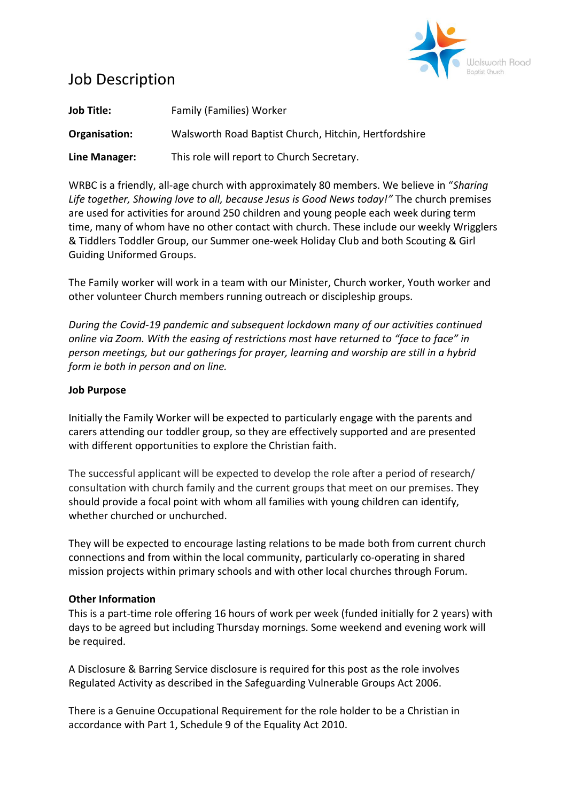

# Job Description

| <b>Job Title:</b> | <b>Family (Families) Worker</b>                       |
|-------------------|-------------------------------------------------------|
| Organisation:     | Walsworth Road Baptist Church, Hitchin, Hertfordshire |
| Line Manager:     | This role will report to Church Secretary.            |

WRBC is a friendly, all-age church with approximately 80 members. We believe in "*Sharing Life together, Showing love to all, because Jesus is Good News today!"* The church premises are used for activities for around 250 children and young people each week during term time, many of whom have no other contact with church. These include our weekly Wrigglers & Tiddlers Toddler Group, our Summer one-week Holiday Club and both Scouting & Girl Guiding Uniformed Groups.

The Family worker will work in a team with our Minister, Church worker, Youth worker and other volunteer Church members running outreach or discipleship groups.

*During the Covid-19 pandemic and subsequent lockdown many of our activities continued online via Zoom. With the easing of restrictions most have returned to "face to face" in person meetings, but our gatherings for prayer, learning and worship are still in a hybrid form ie both in person and on line.*

## **Job Purpose**

Initially the Family Worker will be expected to particularly engage with the parents and carers attending our toddler group, so they are effectively supported and are presented with different opportunities to explore the Christian faith.

The successful applicant will be expected to develop the role after a period of research/ consultation with church family and the current groups that meet on our premises. They should provide a focal point with whom all families with young children can identify, whether churched or unchurched.

They will be expected to encourage lasting relations to be made both from current church connections and from within the local community, particularly co-operating in shared mission projects within primary schools and with other local churches through Forum.

## **Other Information**

This is a part-time role offering 16 hours of work per week (funded initially for 2 years) with days to be agreed but including Thursday mornings. Some weekend and evening work will be required.

A Disclosure & Barring Service disclosure is required for this post as the role involves Regulated Activity as described in the Safeguarding Vulnerable Groups Act 2006.

There is a Genuine Occupational Requirement for the role holder to be a Christian in accordance with Part 1, Schedule 9 of the Equality Act 2010.